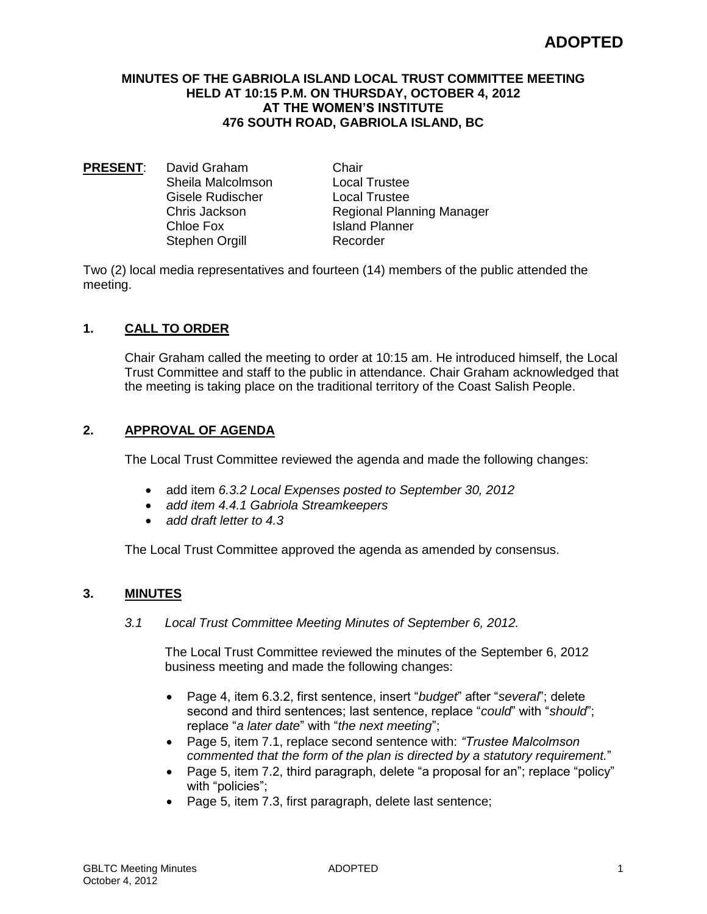## **MINUTES OF THE GABRIOLA ISLAND LOCAL TRUST COMMITTEE MEETING HELD AT 10:15 P.M. ON THURSDAY, OCTOBER 4, 2012 AT THE WOMEN'S INSTITUTE 476 SOUTH ROAD, GABRIOLA ISLAND, BC**

**PRESENT:** David Graham Chair Sheila Malcolmson Local Trustee Gisele Rudischer Local Trustee Chloe Fox **Island Planner** Stephen Orgill Recorder

Chris Jackson Regional Planning Manager

Two (2) local media representatives and fourteen (14) members of the public attended the meeting.

# **1. CALL TO ORDER**

Chair Graham called the meeting to order at 10:15 am. He introduced himself, the Local Trust Committee and staff to the public in attendance. Chair Graham acknowledged that the meeting is taking place on the traditional territory of the Coast Salish People.

# **2. APPROVAL OF AGENDA**

The Local Trust Committee reviewed the agenda and made the following changes:

- add item *6.3.2 Local Expenses posted to September 30, 2012*
- *add item 4.4.1 Gabriola Streamkeepers*
- *add draft letter to 4.3*

The Local Trust Committee approved the agenda as amended by consensus.

## **3. MINUTES**

*3.1 Local Trust Committee Meeting Minutes of September 6, 2012.*

The Local Trust Committee reviewed the minutes of the September 6, 2012 business meeting and made the following changes:

- Page 4, item 6.3.2, first sentence, insert "*budget*" after "*several*"; delete second and third sentences; last sentence, replace "*could*" with "*should*"; replace "*a later date*" with "*the next meeting*";
- Page 5, item 7.1, replace second sentence with: *"Trustee Malcolmson commented that the form of the plan is directed by a statutory requirement.*"
- Page 5, item 7.2, third paragraph, delete "a proposal for an"; replace "policy" with "policies";
- Page 5, item 7.3, first paragraph, delete last sentence;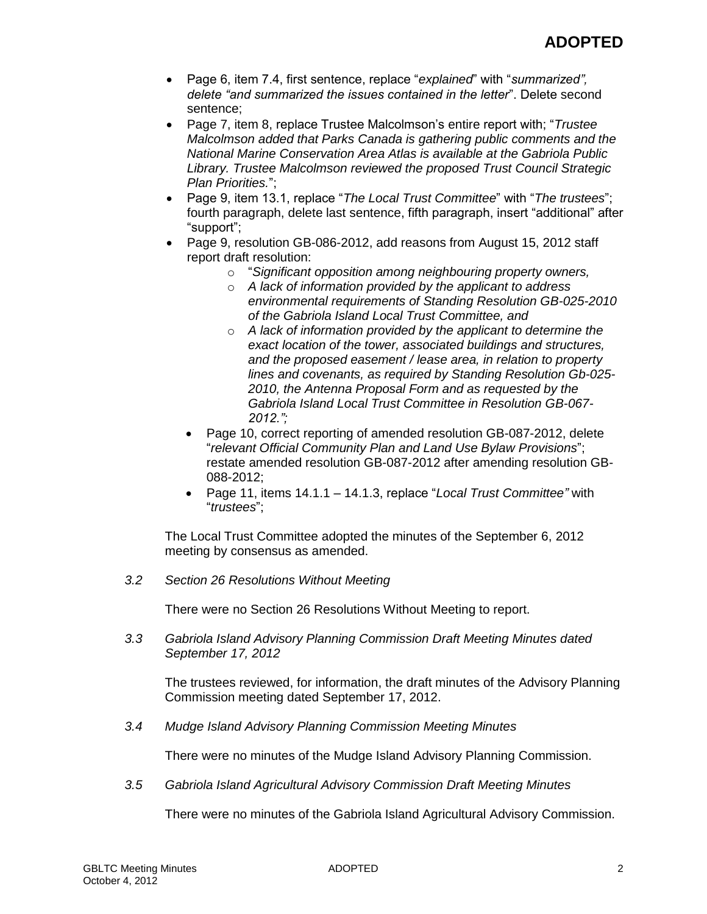- Page 6, item 7.4, first sentence, replace "*explained*" with "*summarized", delete "and summarized the issues contained in the letter*". Delete second sentence;
- Page 7, item 8, replace Trustee Malcolmson's entire report with; "*Trustee Malcolmson added that Parks Canada is gathering public comments and the National Marine Conservation Area Atlas is available at the Gabriola Public Library. Trustee Malcolmson reviewed the proposed Trust Council Strategic Plan Priorities.*";
- Page 9, item 13.1, replace "*The Local Trust Committee*" with "*The trustees*"; fourth paragraph, delete last sentence, fifth paragraph, insert "additional" after "support";
- Page 9, resolution GB-086-2012, add reasons from August 15, 2012 staff report draft resolution:
	- o "*Significant opposition among neighbouring property owners,*
	- o *A lack of information provided by the applicant to address environmental requirements of Standing Resolution GB-025-2010 of the Gabriola Island Local Trust Committee, and*
	- o *A lack of information provided by the applicant to determine the exact location of the tower, associated buildings and structures, and the proposed easement / lease area, in relation to property lines and covenants, as required by Standing Resolution Gb-025- 2010, the Antenna Proposal Form and as requested by the Gabriola Island Local Trust Committee in Resolution GB-067- 2012.";*
	- Page 10, correct reporting of amended resolution GB-087-2012, delete "*relevant Official Community Plan and Land Use Bylaw Provisions*"; restate amended resolution GB-087-2012 after amending resolution GB-088-2012;
	- Page 11, items 14.1.1 14.1.3, replace "*Local Trust Committee"* with "*trustees*";

The Local Trust Committee adopted the minutes of the September 6, 2012 meeting by consensus as amended.

*3.2 Section 26 Resolutions Without Meeting*

There were no Section 26 Resolutions Without Meeting to report.

*3.3 Gabriola Island Advisory Planning Commission Draft Meeting Minutes dated September 17, 2012*

The trustees reviewed, for information, the draft minutes of the Advisory Planning Commission meeting dated September 17, 2012.

*3.4 Mudge Island Advisory Planning Commission Meeting Minutes*

There were no minutes of the Mudge Island Advisory Planning Commission.

*3.5 Gabriola Island Agricultural Advisory Commission Draft Meeting Minutes* 

There were no minutes of the Gabriola Island Agricultural Advisory Commission.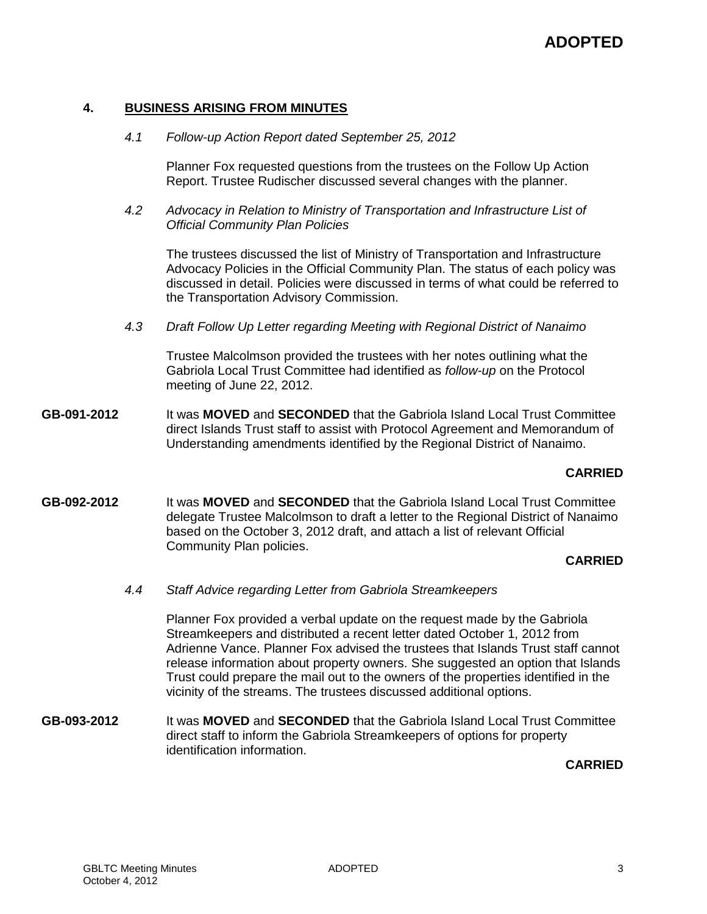## **4. BUSINESS ARISING FROM MINUTES**

#### *4.1 Follow-up Action Report dated September 25, 2012*

Planner Fox requested questions from the trustees on the Follow Up Action Report. Trustee Rudischer discussed several changes with the planner.

*4.2 Advocacy in Relation to Ministry of Transportation and Infrastructure List of Official Community Plan Policies*

The trustees discussed the list of Ministry of Transportation and Infrastructure Advocacy Policies in the Official Community Plan. The status of each policy was discussed in detail. Policies were discussed in terms of what could be referred to the Transportation Advisory Commission.

*4.3 Draft Follow Up Letter regarding Meeting with Regional District of Nanaimo*

Trustee Malcolmson provided the trustees with her notes outlining what the Gabriola Local Trust Committee had identified as *follow-up* on the Protocol meeting of June 22, 2012.

**GB-091-2012** It was **MOVED** and **SECONDED** that the Gabriola Island Local Trust Committee direct Islands Trust staff to assist with Protocol Agreement and Memorandum of Understanding amendments identified by the Regional District of Nanaimo.

#### **CARRIED**

**GB-092-2012** It was **MOVED** and **SECONDED** that the Gabriola Island Local Trust Committee delegate Trustee Malcolmson to draft a letter to the Regional District of Nanaimo based on the October 3, 2012 draft, and attach a list of relevant Official Community Plan policies.

## **CARRIED**

*4.4 Staff Advice regarding Letter from Gabriola Streamkeepers*

Planner Fox provided a verbal update on the request made by the Gabriola Streamkeepers and distributed a recent letter dated October 1, 2012 from Adrienne Vance. Planner Fox advised the trustees that Islands Trust staff cannot release information about property owners. She suggested an option that Islands Trust could prepare the mail out to the owners of the properties identified in the vicinity of the streams. The trustees discussed additional options.

**GB-093-2012** It was **MOVED** and **SECONDED** that the Gabriola Island Local Trust Committee direct staff to inform the Gabriola Streamkeepers of options for property identification information.

**CARRIED**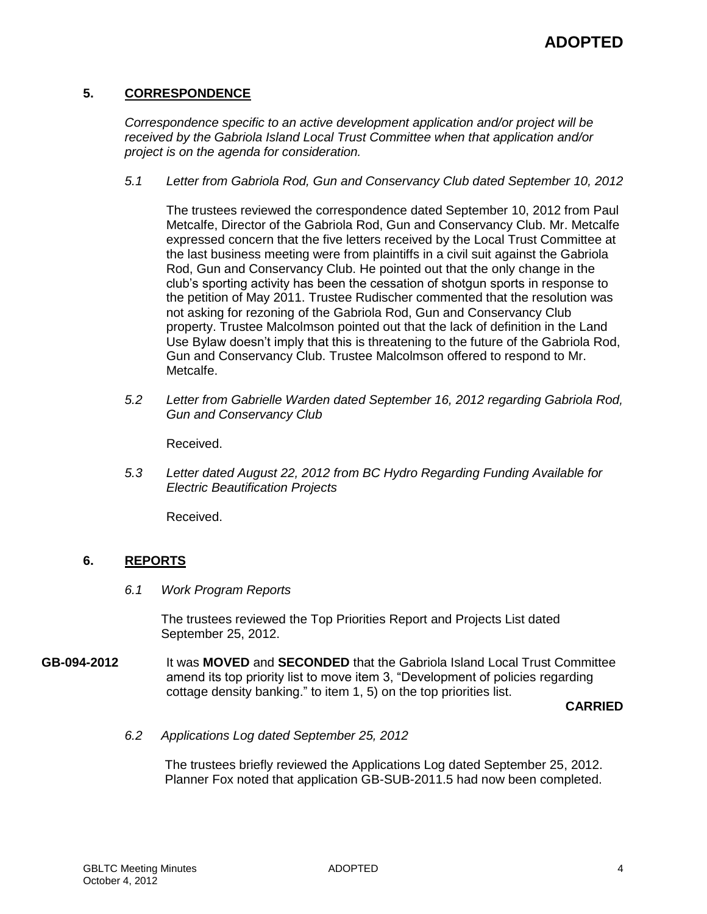## **5. CORRESPONDENCE**

*Correspondence specific to an active development application and/or project will be received by the Gabriola Island Local Trust Committee when that application and/or project is on the agenda for consideration.*

*5.1 Letter from Gabriola Rod, Gun and Conservancy Club dated September 10, 2012*

The trustees reviewed the correspondence dated September 10, 2012 from Paul Metcalfe, Director of the Gabriola Rod, Gun and Conservancy Club. Mr. Metcalfe expressed concern that the five letters received by the Local Trust Committee at the last business meeting were from plaintiffs in a civil suit against the Gabriola Rod, Gun and Conservancy Club. He pointed out that the only change in the club's sporting activity has been the cessation of shotgun sports in response to the petition of May 2011. Trustee Rudischer commented that the resolution was not asking for rezoning of the Gabriola Rod, Gun and Conservancy Club property. Trustee Malcolmson pointed out that the lack of definition in the Land Use Bylaw doesn't imply that this is threatening to the future of the Gabriola Rod, Gun and Conservancy Club. Trustee Malcolmson offered to respond to Mr. Metcalfe.

*5.2 Letter from Gabrielle Warden dated September 16, 2012 regarding Gabriola Rod, Gun and Conservancy Club*

Received.

*5.3 Letter dated August 22, 2012 from BC Hydro Regarding Funding Available for Electric Beautification Projects*

Received.

#### **6. REPORTS**

*6.1 Work Program Reports*

The trustees reviewed the Top Priorities Report and Projects List dated September 25, 2012.

**GB-094-2012** It was **MOVED** and **SECONDED** that the Gabriola Island Local Trust Committee amend its top priority list to move item 3, "Development of policies regarding cottage density banking." to item 1, 5) on the top priorities list.

**CARRIED**

*6.2 Applications Log dated September 25, 2012*

The trustees briefly reviewed the Applications Log dated September 25, 2012. Planner Fox noted that application GB-SUB-2011.5 had now been completed.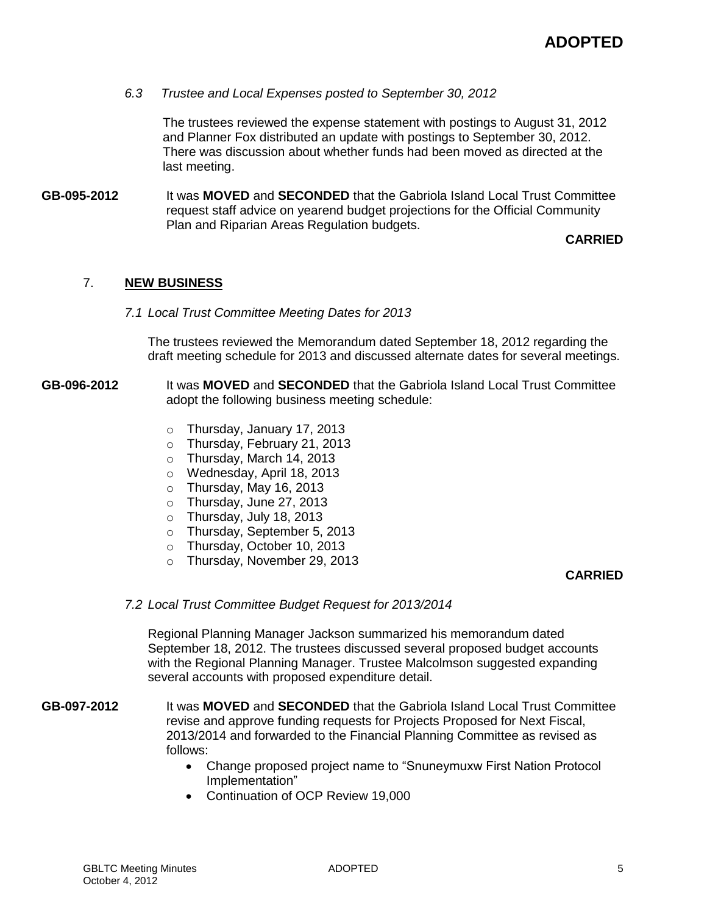*6.3 Trustee and Local Expenses posted to September 30, 2012*

The trustees reviewed the expense statement with postings to August 31, 2012 and Planner Fox distributed an update with postings to September 30, 2012. There was discussion about whether funds had been moved as directed at the last meeting.

**GB-095-2012** It was **MOVED** and **SECONDED** that the Gabriola Island Local Trust Committee request staff advice on yearend budget projections for the Official Community Plan and Riparian Areas Regulation budgets.

#### **CARRIED**

## 7. **NEW BUSINESS**

#### *7.1 Local Trust Committee Meeting Dates for 2013*

The trustees reviewed the Memorandum dated September 18, 2012 regarding the draft meeting schedule for 2013 and discussed alternate dates for several meetings.

- **GB-096-2012** It was **MOVED** and **SECONDED** that the Gabriola Island Local Trust Committee adopt the following business meeting schedule:
	- o Thursday, January 17, 2013
	- o Thursday, February 21, 2013
	- o Thursday, March 14, 2013
	- o Wednesday, April 18, 2013
	- $\circ$  Thursday, May 16, 2013
	- o Thursday, June 27, 2013
	- $\circ$  Thursday, July 18, 2013
	- o Thursday, September 5, 2013
	- o Thursday, October 10, 2013
	- o Thursday, November 29, 2013

#### **CARRIED**

#### *7.2 Local Trust Committee Budget Request for 2013/2014*

Regional Planning Manager Jackson summarized his memorandum dated September 18, 2012. The trustees discussed several proposed budget accounts with the Regional Planning Manager. Trustee Malcolmson suggested expanding several accounts with proposed expenditure detail.

**GB-097-2012** It was **MOVED** and **SECONDED** that the Gabriola Island Local Trust Committee revise and approve funding requests for Projects Proposed for Next Fiscal, 2013/2014 and forwarded to the Financial Planning Committee as revised as follows:

- Change proposed project name to "Snuneymuxw First Nation Protocol Implementation"
- Continuation of OCP Review 19,000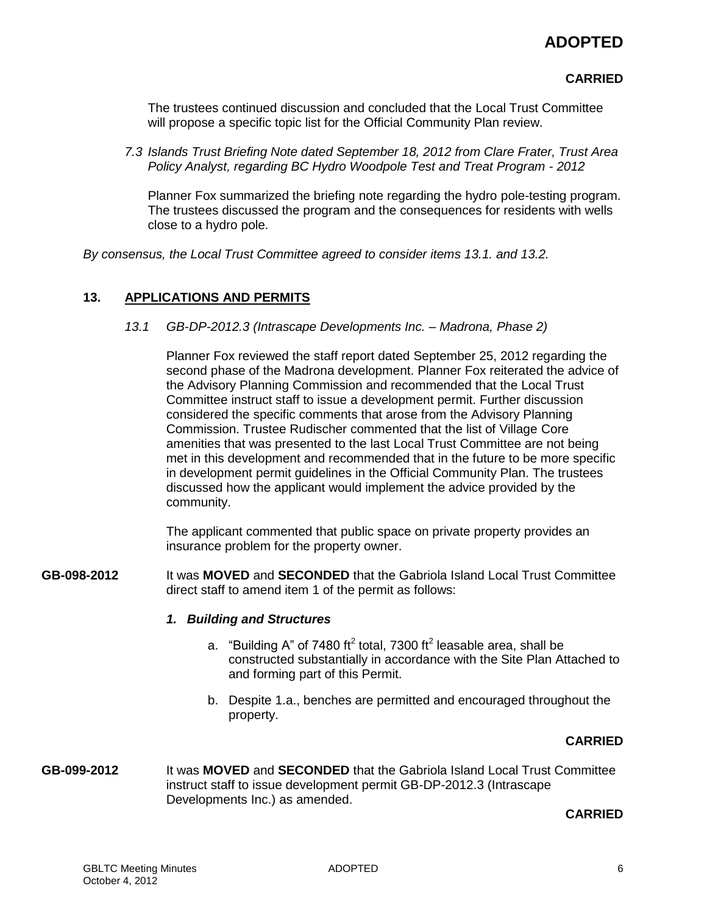# **ADOPTED**

## **CARRIED**

The trustees continued discussion and concluded that the Local Trust Committee will propose a specific topic list for the Official Community Plan review.

*7.3 Islands Trust Briefing Note dated September 18, 2012 from Clare Frater, Trust Area Policy Analyst, regarding BC Hydro Woodpole Test and Treat Program - 2012*

Planner Fox summarized the briefing note regarding the hydro pole-testing program. The trustees discussed the program and the consequences for residents with wells close to a hydro pole.

*By consensus, the Local Trust Committee agreed to consider items 13.1. and 13.2.*

#### **13. APPLICATIONS AND PERMITS**

*13.1 GB-DP-2012.3 (Intrascape Developments Inc. – Madrona, Phase 2)*

Planner Fox reviewed the staff report dated September 25, 2012 regarding the second phase of the Madrona development. Planner Fox reiterated the advice of the Advisory Planning Commission and recommended that the Local Trust Committee instruct staff to issue a development permit. Further discussion considered the specific comments that arose from the Advisory Planning Commission. Trustee Rudischer commented that the list of Village Core amenities that was presented to the last Local Trust Committee are not being met in this development and recommended that in the future to be more specific in development permit guidelines in the Official Community Plan. The trustees discussed how the applicant would implement the advice provided by the community.

The applicant commented that public space on private property provides an insurance problem for the property owner.

**GB-098-2012** It was **MOVED** and **SECONDED** that the Gabriola Island Local Trust Committee direct staff to amend item 1 of the permit as follows:

#### *1. Building and Structures*

- a. "Building A" of 7480 ft<sup>2</sup> total, 7300 ft<sup>2</sup> leasable area, shall be constructed substantially in accordance with the Site Plan Attached to and forming part of this Permit.
- b. Despite 1.a., benches are permitted and encouraged throughout the property.

#### **CARRIED**

**GB-099-2012** It was **MOVED** and **SECONDED** that the Gabriola Island Local Trust Committee instruct staff to issue development permit GB-DP-2012.3 (Intrascape Developments Inc.) as amended.

#### **CARRIED**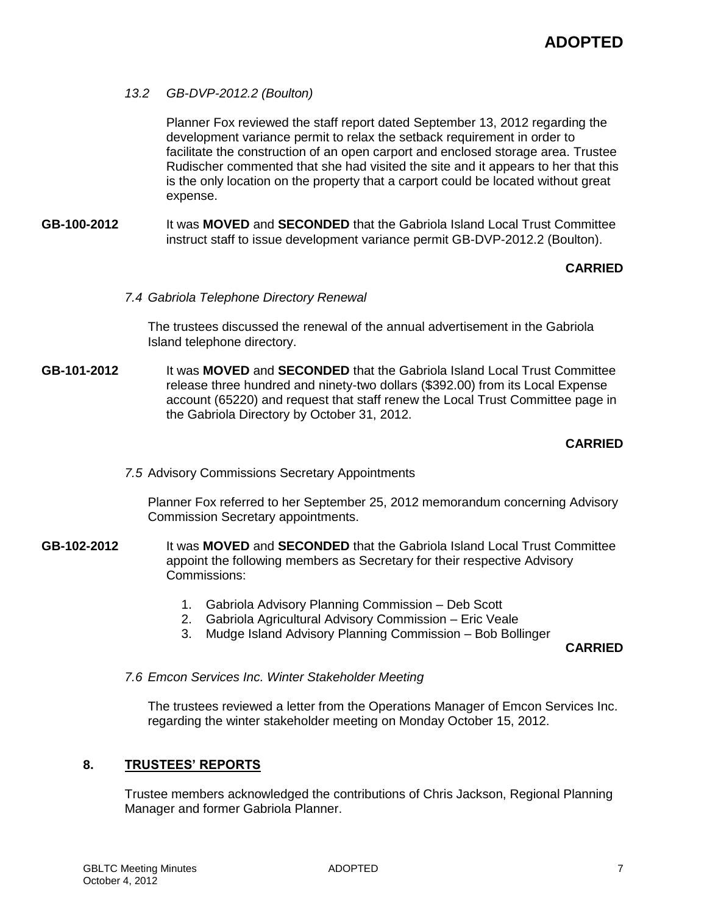#### *13.2 GB-DVP-2012.2 (Boulton)*

Planner Fox reviewed the staff report dated September 13, 2012 regarding the development variance permit to relax the setback requirement in order to facilitate the construction of an open carport and enclosed storage area. Trustee Rudischer commented that she had visited the site and it appears to her that this is the only location on the property that a carport could be located without great expense.

**GB-100-2012** It was **MOVED** and **SECONDED** that the Gabriola Island Local Trust Committee instruct staff to issue development variance permit GB-DVP-2012.2 (Boulton).

#### **CARRIED**

#### *7.4 Gabriola Telephone Directory Renewal*

The trustees discussed the renewal of the annual advertisement in the Gabriola Island telephone directory.

**GB-101-2012** It was **MOVED** and **SECONDED** that the Gabriola Island Local Trust Committee release three hundred and ninety-two dollars (\$392.00) from its Local Expense account (65220) and request that staff renew the Local Trust Committee page in the Gabriola Directory by October 31, 2012.

#### **CARRIED**

*7.5* Advisory Commissions Secretary Appointments

Planner Fox referred to her September 25, 2012 memorandum concerning Advisory Commission Secretary appointments.

- **GB-102-2012** It was **MOVED** and **SECONDED** that the Gabriola Island Local Trust Committee appoint the following members as Secretary for their respective Advisory Commissions:
	- 1. Gabriola Advisory Planning Commission Deb Scott
	- 2. Gabriola Agricultural Advisory Commission Eric Veale
	- 3. Mudge Island Advisory Planning Commission Bob Bollinger

**CARRIED**

*7.6 Emcon Services Inc. Winter Stakeholder Meeting*

The trustees reviewed a letter from the Operations Manager of Emcon Services Inc. regarding the winter stakeholder meeting on Monday October 15, 2012.

#### **8. TRUSTEES' REPORTS**

Trustee members acknowledged the contributions of Chris Jackson, Regional Planning Manager and former Gabriola Planner.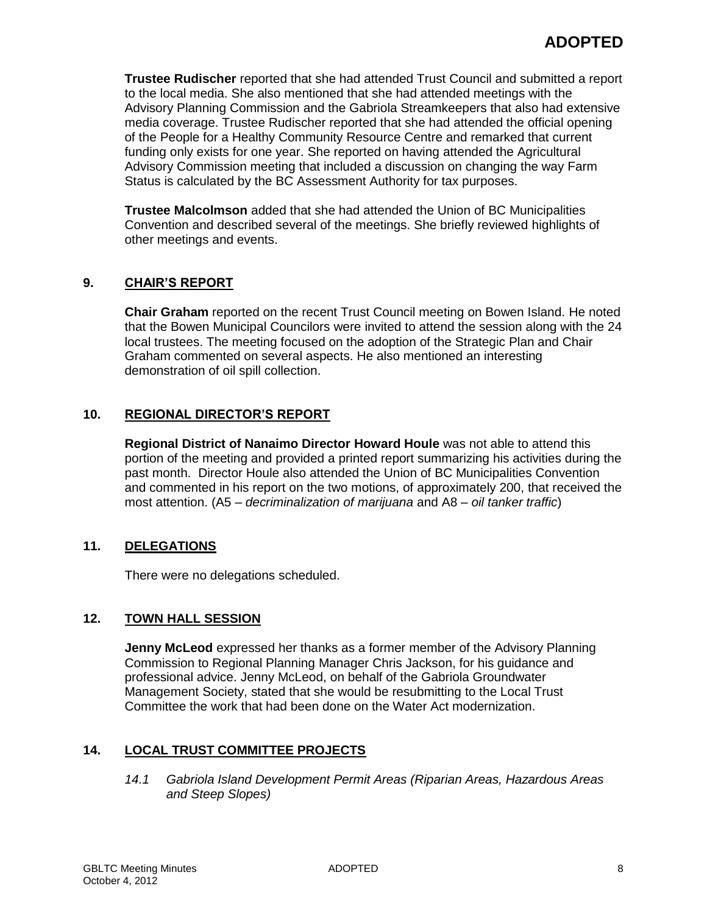**Trustee Rudischer** reported that she had attended Trust Council and submitted a report to the local media. She also mentioned that she had attended meetings with the Advisory Planning Commission and the Gabriola Streamkeepers that also had extensive media coverage. Trustee Rudischer reported that she had attended the official opening of the People for a Healthy Community Resource Centre and remarked that current funding only exists for one year. She reported on having attended the Agricultural Advisory Commission meeting that included a discussion on changing the way Farm Status is calculated by the BC Assessment Authority for tax purposes.

**Trustee Malcolmson** added that she had attended the Union of BC Municipalities Convention and described several of the meetings. She briefly reviewed highlights of other meetings and events.

# **9. CHAIR'S REPORT**

**Chair Graham** reported on the recent Trust Council meeting on Bowen Island. He noted that the Bowen Municipal Councilors were invited to attend the session along with the 24 local trustees. The meeting focused on the adoption of the Strategic Plan and Chair Graham commented on several aspects. He also mentioned an interesting demonstration of oil spill collection.

# **10. REGIONAL DIRECTOR'S REPORT**

**Regional District of Nanaimo Director Howard Houle** was not able to attend this portion of the meeting and provided a printed report summarizing his activities during the past month. Director Houle also attended the Union of BC Municipalities Convention and commented in his report on the two motions, of approximately 200, that received the most attention. (A5 – *decriminalization of marijuana* and A8 – *oil tanker traffic*)

## **11. DELEGATIONS**

There were no delegations scheduled.

## **12. TOWN HALL SESSION**

**Jenny McLeod** expressed her thanks as a former member of the Advisory Planning Commission to Regional Planning Manager Chris Jackson, for his guidance and professional advice. Jenny McLeod, on behalf of the Gabriola Groundwater Management Society, stated that she would be resubmitting to the Local Trust Committee the work that had been done on the Water Act modernization.

## **14. LOCAL TRUST COMMITTEE PROJECTS**

*14.1 Gabriola Island Development Permit Areas (Riparian Areas, Hazardous Areas and Steep Slopes)*